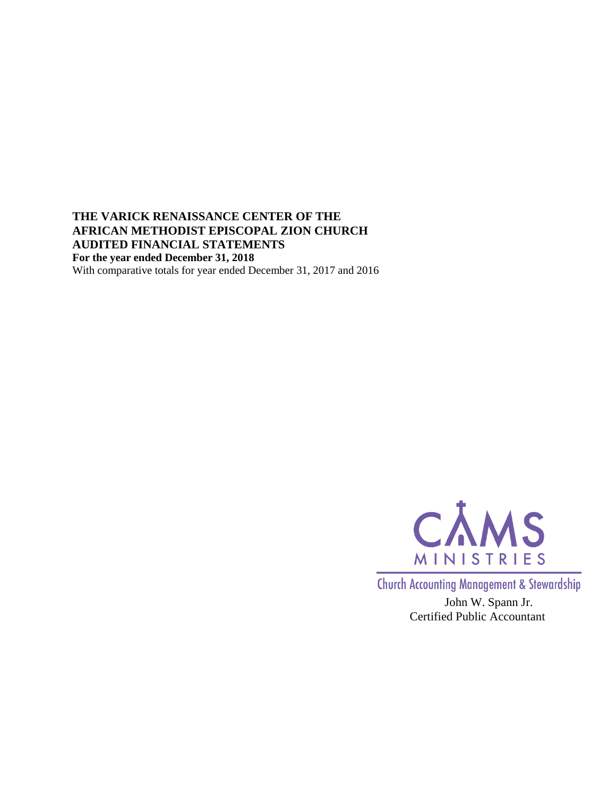**THE VARICK RENAISSANCE CENTER OF THE AFRICAN METHODIST EPISCOPAL ZION CHURCH AUDITED FINANCIAL STATEMENTS For the year ended December 31, 2018** With comparative totals for year ended December 31, 2017 and 2016



**Church Accounting Management & Stewardship** 

John W. Spann Jr. Certified Public Accountant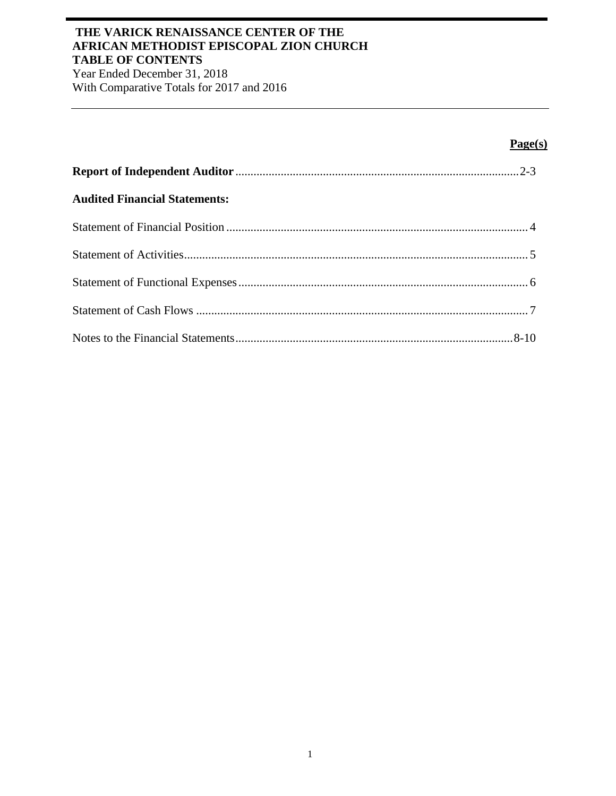## **THE VARICK RENAISSANCE CENTER OF THE AFRICAN METHODIST EPISCOPAL ZION CHURCH TABLE OF CONTENTS**

Year Ended December 31, 2018 With Comparative Totals for 2017 and 2016

# **Page(s)**

| <b>Audited Financial Statements:</b> |  |
|--------------------------------------|--|
|                                      |  |
|                                      |  |
|                                      |  |
|                                      |  |
|                                      |  |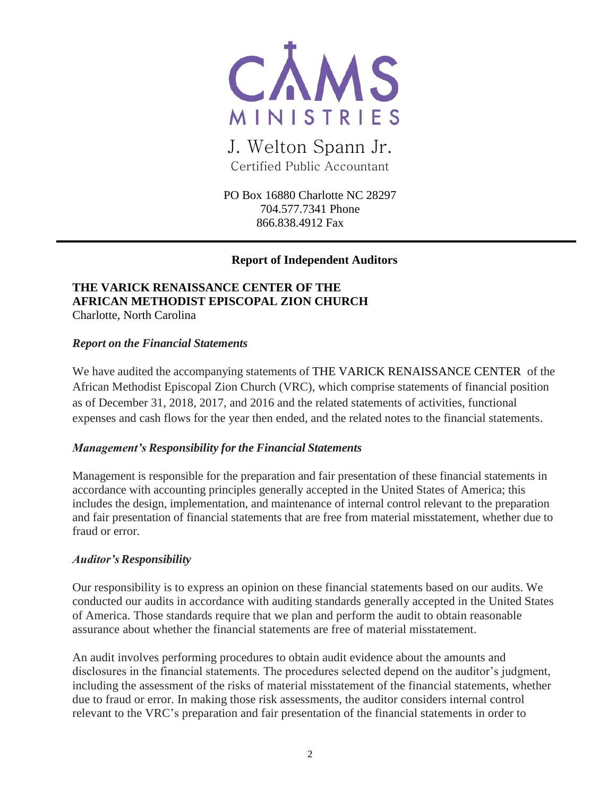

# J. Welton Spann Jr. Certified Public Accountant

PO Box 16880 Charlotte NC 28297 704.577.7341 Phone 866.838.4912 Fax

## **Report of Independent Auditors**

#### **THE VARICK RENAISSANCE CENTER OF THE AFRICAN METHODIST EPISCOPAL ZION CHURCH** Charlotte, North Carolina

# *Report on the Financial Statements*

We have audited the accompanying statements of THE VARICK RENAISSANCE CENTER of the African Methodist Episcopal Zion Church (VRC), which comprise statements of financial position as of December 31, 2018, 2017, and 2016 and the related statements of activities, functional expenses and cash flows for the year then ended, and the related notes to the financial statements.

#### *Management's Responsibility for the Financial Statements*

Management is responsible for the preparation and fair presentation of these financial statements in accordance with accounting principles generally accepted in the United States of America; this includes the design, implementation, and maintenance of internal control relevant to the preparation and fair presentation of financial statements that are free from material misstatement, whether due to fraud or error.

#### *Auditor'sResponsibility*

Our responsibility is to express an opinion on these financial statements based on our audits. We conducted our audits in accordance with auditing standards generally accepted in the United States of America. Those standards require that we plan and perform the audit to obtain reasonable assurance about whether the financial statements are free of material misstatement.

An audit involves performing procedures to obtain audit evidence about the amounts and disclosures in the financial statements. The procedures selected depend on the auditor's judgment, including the assessment of the risks of material misstatement of the financial statements, whether due to fraud or error. In making those risk assessments, the auditor considers internal control relevant to the VRC's preparation and fair presentation of the financial statements in order to